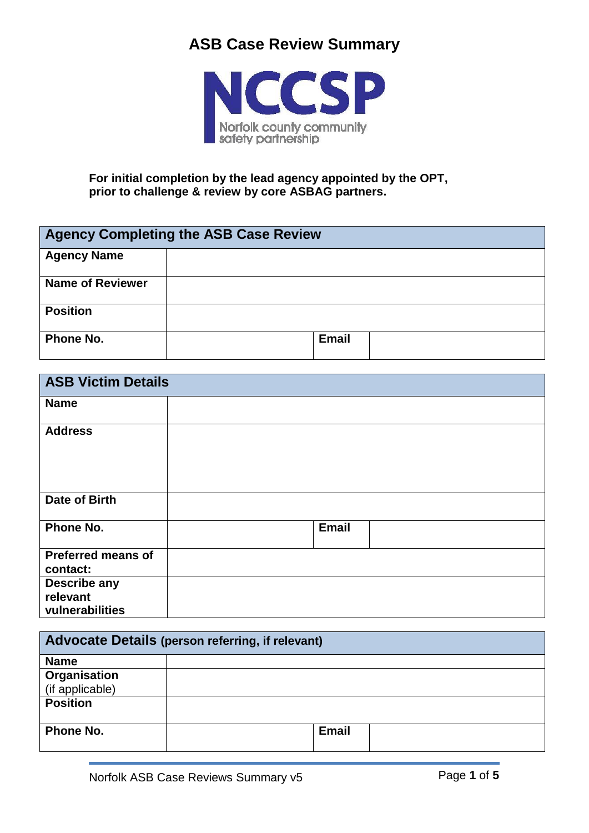

**For initial completion by the lead agency appointed by the OPT, prior to challenge & review by core ASBAG partners.**

| <b>Agency Completing the ASB Case Review</b> |              |  |
|----------------------------------------------|--------------|--|
| <b>Agency Name</b>                           |              |  |
| <b>Name of Reviewer</b>                      |              |  |
| <b>Position</b>                              |              |  |
| <b>Phone No.</b>                             | <b>Email</b> |  |

| <b>ASB Victim Details</b>                   |  |              |  |
|---------------------------------------------|--|--------------|--|
| <b>Name</b>                                 |  |              |  |
| <b>Address</b>                              |  |              |  |
| Date of Birth                               |  |              |  |
| Phone No.                                   |  | <b>Email</b> |  |
| <b>Preferred means of</b><br>contact:       |  |              |  |
| Describe any<br>relevant<br>vulnerabilities |  |              |  |

| Advocate Details (person referring, if relevant) |              |  |
|--------------------------------------------------|--------------|--|
| <b>Name</b>                                      |              |  |
| <b>Organisation</b>                              |              |  |
| (if applicable)                                  |              |  |
| <b>Position</b>                                  |              |  |
| Phone No.                                        | <b>Email</b> |  |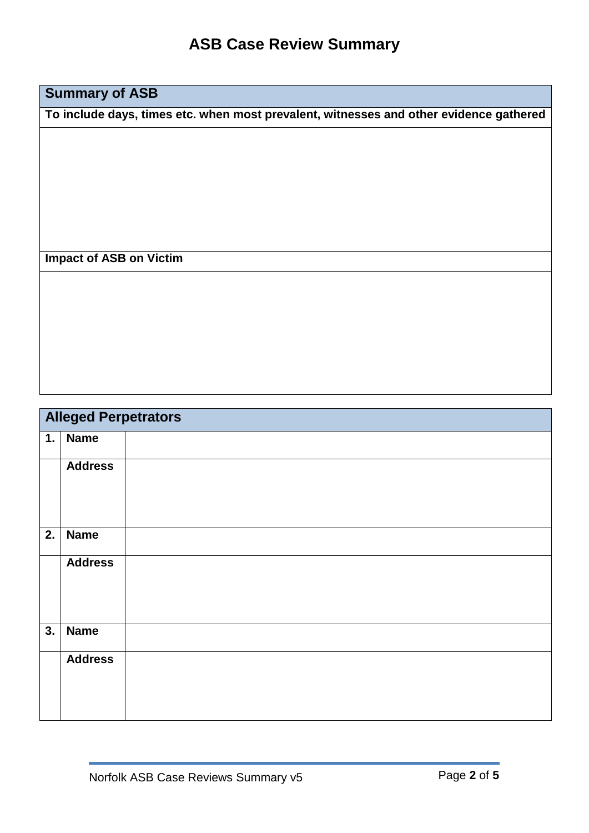### **Summary of ASB**

**To include days, times etc. when most prevalent, witnesses and other evidence gathered**

#### **Impact of ASB on Victim**

|    | <b>Alleged Perpetrators</b> |  |  |
|----|-----------------------------|--|--|
| 1. | <b>Name</b>                 |  |  |
|    | <b>Address</b>              |  |  |
| 2. | <b>Name</b>                 |  |  |
|    | <b>Address</b>              |  |  |
| 3. | <b>Name</b>                 |  |  |
|    | <b>Address</b>              |  |  |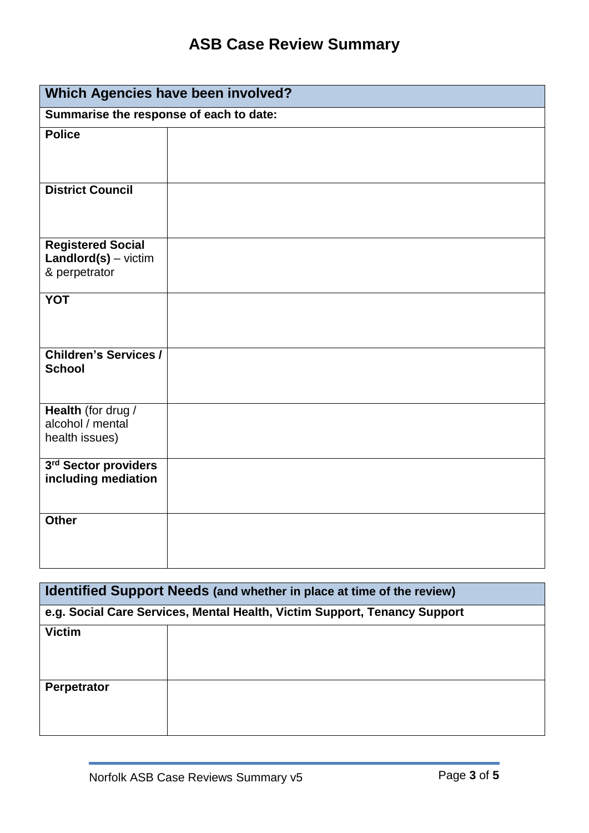| Which Agencies have been involved?                                  |                                         |  |  |
|---------------------------------------------------------------------|-----------------------------------------|--|--|
|                                                                     | Summarise the response of each to date: |  |  |
| <b>Police</b>                                                       |                                         |  |  |
| <b>District Council</b>                                             |                                         |  |  |
| <b>Registered Social</b><br>$Landlord(s) - victim$<br>& perpetrator |                                         |  |  |
| <b>YOT</b>                                                          |                                         |  |  |
| <b>Children's Services /</b><br><b>School</b>                       |                                         |  |  |
| Health (for drug /<br>alcohol / mental<br>health issues)            |                                         |  |  |
| 3rd Sector providers<br>including mediation                         |                                         |  |  |
| <b>Other</b>                                                        |                                         |  |  |

| Identified Support Needs (and whether in place at time of the review)     |  |  |
|---------------------------------------------------------------------------|--|--|
| e.g. Social Care Services, Mental Health, Victim Support, Tenancy Support |  |  |
| <b>Victim</b>                                                             |  |  |
| Perpetrator                                                               |  |  |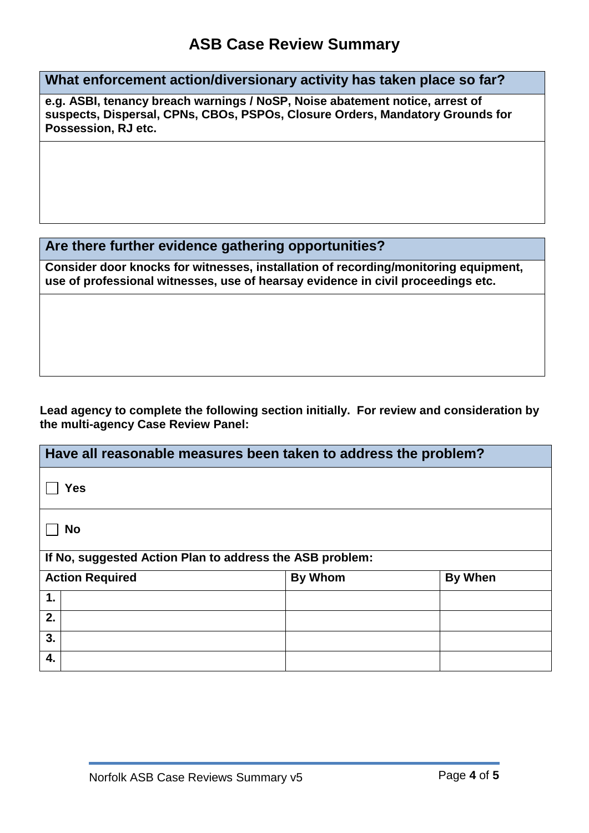**What enforcement action/diversionary activity has taken place so far?**

**e.g. ASBI, tenancy breach warnings / NoSP, Noise abatement notice, arrest of suspects, Dispersal, CPNs, CBOs, PSPOs, Closure Orders, Mandatory Grounds for Possession, RJ etc.**

#### **Are there further evidence gathering opportunities?**

**Consider door knocks for witnesses, installation of recording/monitoring equipment, use of professional witnesses, use of hearsay evidence in civil proceedings etc.**

#### **Lead agency to complete the following section initially. For review and consideration by the multi-agency Case Review Panel:**

| Have all reasonable measures been taken to address the problem? |                |         |
|-----------------------------------------------------------------|----------------|---------|
| <b>Yes</b>                                                      |                |         |
| <b>No</b>                                                       |                |         |
| If No, suggested Action Plan to address the ASB problem:        |                |         |
| <b>Action Required</b>                                          | <b>By Whom</b> | By When |
| 1.                                                              |                |         |
| 2.                                                              |                |         |
| 3.                                                              |                |         |
| 4.                                                              |                |         |